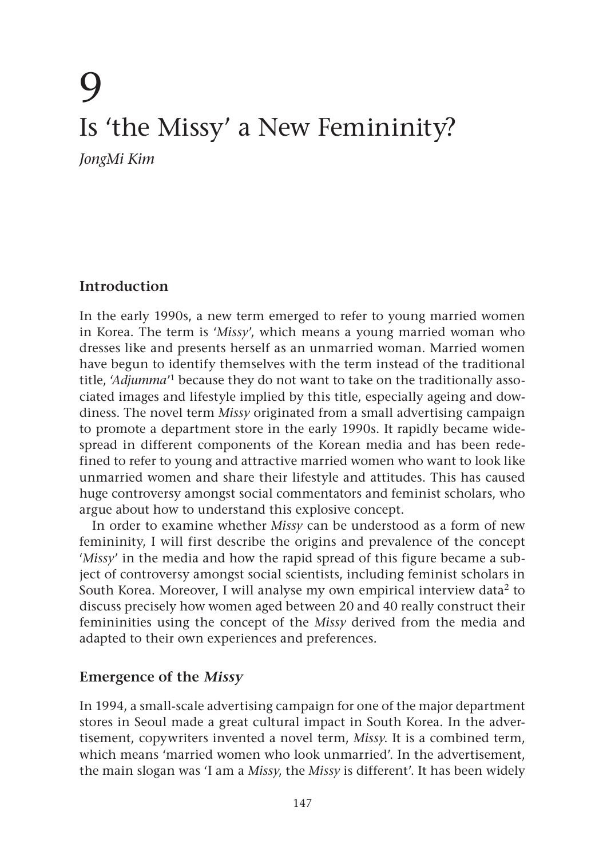# 9 Is 'the Missy' a New Femininity? *JongMi Kim*

### **Introduction**

In the early 1990s, a new term emerged to refer to young married women in Korea. The term is '*Missy*', which means a young married woman who dresses like and presents herself as an unmarried woman. Married women have begun to identify themselves with the term instead of the traditional title, '*Adjumma*' 1 because they do not want to take on the traditionally associated images and lifestyle implied by this title, especially ageing and dowdiness. The novel term *Missy* originated from a small advertising campaign to promote a department store in the early 1990s. It rapidly became widespread in different components of the Korean media and has been redefined to refer to young and attractive married women who want to look like unmarried women and share their lifestyle and attitudes. This has caused huge controversy amongst social commentators and feminist scholars, who argue about how to understand this explosive concept.

In order to examine whether *Missy* can be understood as a form of new femininity, I will first describe the origins and prevalence of the concept '*Missy*' in the media and how the rapid spread of this figure became a subject of controversy amongst social scientists, including feminist scholars in South Korea. Moreover, I will analyse my own empirical interview data<sup>2</sup> to discuss precisely how women aged between 20 and 40 really construct their femininities using the concept of the *Missy* derived from the media and adapted to their own experiences and preferences*.*

# **Emergence of the Missy**

In 1994, a small-scale advertising campaign for one of the major department stores in Seoul made a great cultural impact in South Korea. In the advertisement, copywriters invented a novel term, *Missy*. It is a combined term, which means 'married women who look unmarried'. In the advertisement, the main slogan was 'I am a *Missy*, the *Missy* is different'. It has been widely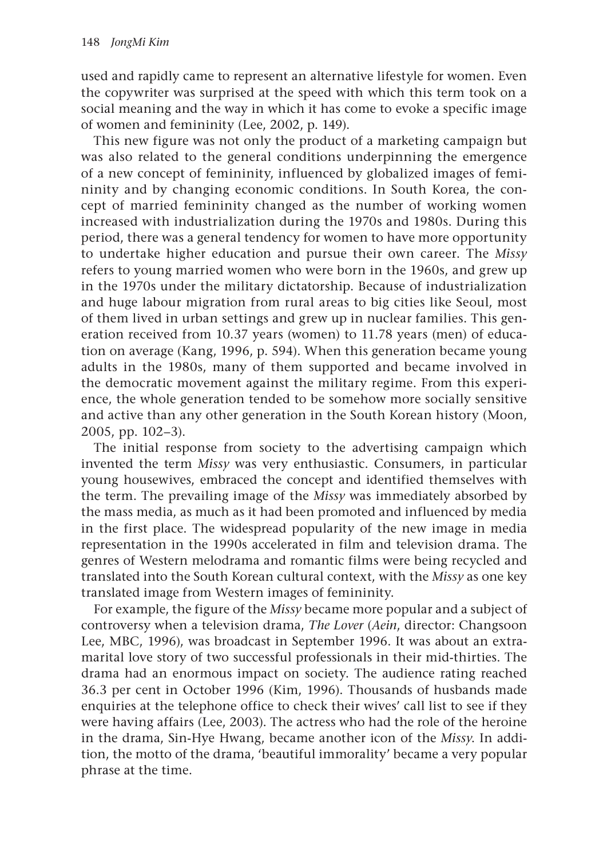used and rapidly came to represent an alternative lifestyle for women. Even the copywriter was surprised at the speed with which this term took on a social meaning and the way in which it has come to evoke a specific image of women and femininity (Lee, 2002, p. 149).

This new figure was not only the product of a marketing campaign but was also related to the general conditions underpinning the emergence of a new concept of femininity, influenced by globalized images of femininity and by changing economic conditions. In South Korea, the concept of married femininity changed as the number of working women increased with industrialization during the 1970s and 1980s. During this period, there was a general tendency for women to have more opportunity to undertake higher education and pursue their own career. The *Missy* refers to young married women who were born in the 1960s, and grew up in the 1970s under the military dictatorship. Because of industrialization and huge labour migration from rural areas to big cities like Seoul, most of them lived in urban settings and grew up in nuclear families. This generation received from 10.37 years (women) to 11.78 years (men) of education on average (Kang, 1996, p. 594). When this generation became young adults in the 1980s, many of them supported and became involved in the democratic movement against the military regime. From this experience, the whole generation tended to be somehow more socially sensitive and active than any other generation in the South Korean history (Moon, 2005, pp. 102–3).

The initial response from society to the advertising campaign which invented the term *Missy* was very enthusiastic. Consumers, in particular young housewives, embraced the concept and identified themselves with the term. The prevailing image of the *Missy* was immediately absorbed by the mass media, as much as it had been promoted and influenced by media in the first place. The widespread popularity of the new image in media representation in the 1990s accelerated in film and television drama. The genres of Western melodrama and romantic films were being recycled and translated into the South Korean cultural context, with the *Missy* as one key translated image from Western images of femininity.

For example, the figure of the *Missy* became more popular and a subject of controversy when a television drama, *The Lover* (*Aein*, director: Changsoon Lee, MBC, 1996), was broadcast in September 1996. It was about an extramarital love story of two successful professionals in their mid-thirties. The drama had an enormous impact on society. The audience rating reached 36.3 per cent in October 1996 (Kim, 1996). Thousands of husbands made enquiries at the telephone office to check their wives' call list to see if they were having affairs (Lee, 2003). The actress who had the role of the heroine in the drama, Sin-Hye Hwang, became another icon of the *Missy*. In addition, the motto of the drama, 'beautiful immorality' became a very popular phrase at the time.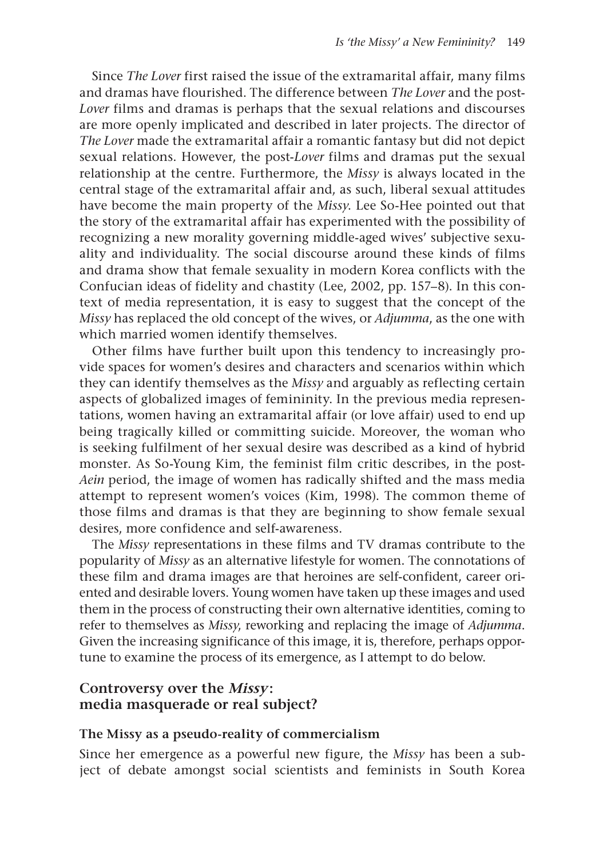Since *The Lover* first raised the issue of the extramarital affair, many films and dramas have flourished. The difference between *The Lover* and the post-*Lover* films and dramas is perhaps that the sexual relations and discourses are more openly implicated and described in later projects. The director of *The Lover* made the extramarital affair a romantic fantasy but did not depict sexual relations. However, the post-*Lover* films and dramas put the sexual relationship at the centre. Furthermore, the *Missy* is always located in the central stage of the extramarital affair and, as such, liberal sexual attitudes have become the main property of the *Missy*. Lee So-Hee pointed out that the story of the extramarital affair has experimented with the possibility of recognizing a new morality governing middle-aged wives' subjective sexuality and individuality. The social discourse around these kinds of films and drama show that female sexuality in modern Korea conflicts with the Confucian ideas of fidelity and chastity (Lee, 2002, pp. 157–8). In this context of media representation, it is easy to suggest that the concept of the *Missy* has replaced the old concept of the wives, or *Adjumma*, as the one with which married women identify themselves.

Other films have further built upon this tendency to increasingly provide spaces for women's desires and characters and scenarios within which they can identify themselves as the *Missy* and arguably as reflecting certain aspects of globalized images of femininity. In the previous media representations, women having an extramarital affair (or love affair) used to end up being tragically killed or committing suicide. Moreover, the woman who is seeking fulfilment of her sexual desire was described as a kind of hybrid monster. As So-Young Kim, the feminist film critic describes, in the post-*Aein* period, the image of women has radically shifted and the mass media attempt to represent women's voices (Kim, 1998). The common theme of those films and dramas is that they are beginning to show female sexual desires, more confidence and self-awareness.

The *Missy* representations in these films and TV dramas contribute to the popularity of *Missy* as an alternative lifestyle for women. The connotations of these film and drama images are that heroines are self-confident, career oriented and desirable lovers. Young women have taken up these images and used them in the process of constructing their own alternative identities, coming to refer to themselves as *Missy*, reworking and replacing the image of *Adjumma*. Given the increasing significance of this image, it is, therefore, perhaps opportune to examine the process of its emergence, as I attempt to do below.

#### **Controversy over the Missy: media masquerade or real subject?**

#### **The Missy as a pseudo-reality of commercialism**

Since her emergence as a powerful new figure, the *Missy* has been a subject of debate amongst social scientists and feminists in South Korea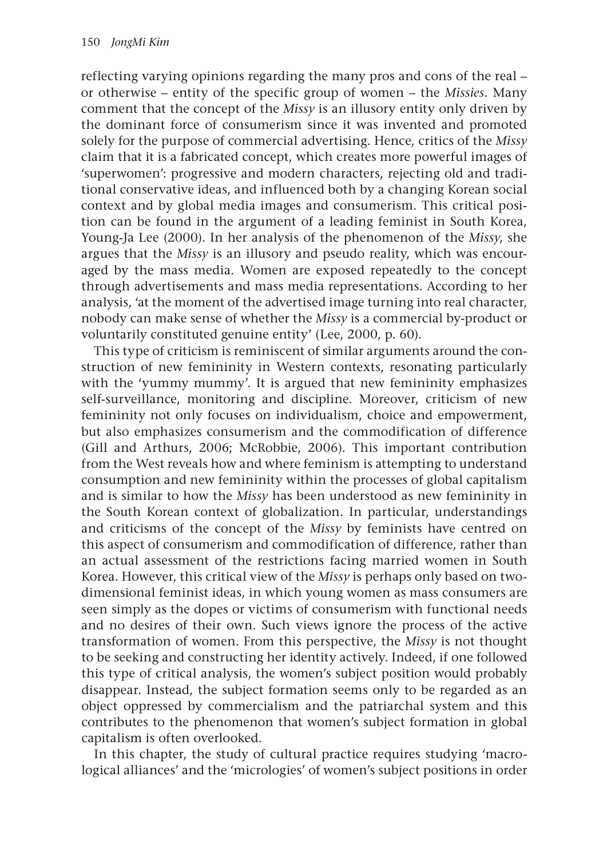reflecting varying opinions regarding the many pros and cons of the real – or otherwise – entity of the specific group of women – the *Missies*. Many comment that the concept of the *Missy* is an illusory entity only driven by the dominant force of consumerism since it was invented and promoted solely for the purpose of commercial advertising. Hence, critics of the *Missy* claim that it is a fabricated concept, which creates more powerful images of 'superwomen': progressive and modern characters, rejecting old and traditional conservative ideas, and influenced both by a changing Korean social context and by global media images and consumerism. This critical position can be found in the argument of a leading feminist in South Korea, Young-Ja Lee (2000). In her analysis of the phenomenon of the *Missy*, she argues that the *Missy* is an illusory and pseudo reality, which was encouraged by the mass media. Women are exposed repeatedly to the concept through advertisements and mass media representations. According to her analysis, 'at the moment of the advertised image turning into real character, nobody can make sense of whether the *Missy* is a commercial by-product or voluntarily constituted genuine entity' (Lee, 2000, p. 60).

This type of criticism is reminiscent of similar arguments around the construction of new femininity in Western contexts, resonating particularly with the 'yummy mummy'. It is argued that new femininity emphasizes self-surveillance, monitoring and discipline. Moreover, criticism of new femininity not only focuses on individualism, choice and empowerment, but also emphasizes consumerism and the commodification of difference (Gill and Arthurs, 2006; McRobbie, 2006). This important contribution from the West reveals how and where feminism is attempting to understand consumption and new femininity within the processes of global capitalism and is similar to how the *Missy* has been understood as new femininity in the South Korean context of globalization. In particular, understandings and criticisms of the concept of the *Missy* by feminists have centred on this aspect of consumerism and commodification of difference, rather than an actual assessment of the restrictions facing married women in South Korea. However, this critical view of the *Missy* is perhaps only based on twodimensional feminist ideas, in which young women as mass consumers are seen simply as the dopes or victims of consumerism with functional needs and no desires of their own. Such views ignore the process of the active transformation of women. From this perspective, the *Missy* is not thought to be seeking and constructing her identity actively. Indeed, if one followed this type of critical analysis, the women's subject position would probably disappear. Instead, the subject formation seems only to be regarded as an object oppressed by commercialism and the patriarchal system and this contributes to the phenomenon that women's subject formation in global capitalism is often overlooked.

In this chapter, the study of cultural practice requires studying 'macrological alliances' and the 'micrologies' of women's subject positions in order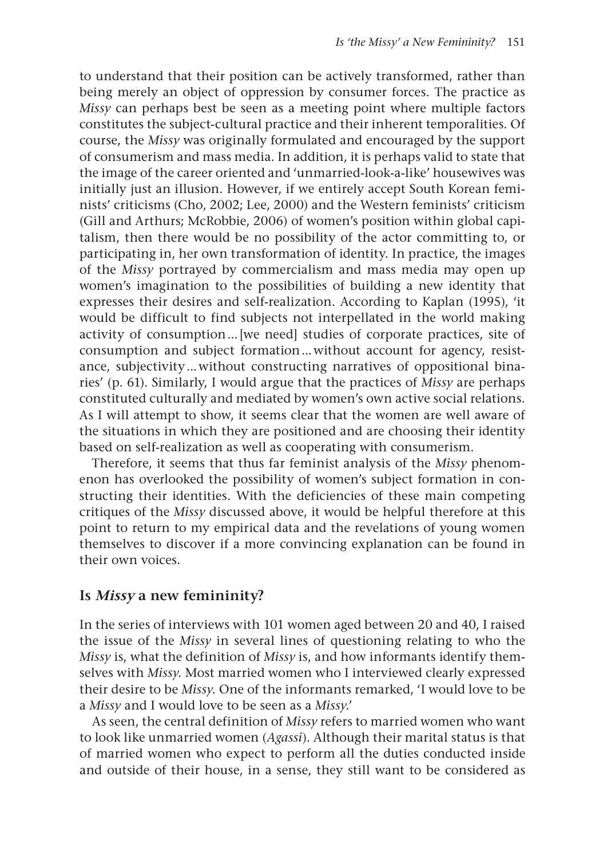to understand that their position can be actively transformed, rather than being merely an object of oppression by consumer forces. The practice as *Missy* can perhaps best be seen as a meeting point where multiple factors constitutes the subject-cultural practice and their inherent temporalities. Of course, the *Missy* was originally formulated and encouraged by the support of consumerism and mass media. In addition, it is perhaps valid to state that the image of the career oriented and 'unmarried-look-a-like' housewives was initially just an illusion. However, if we entirely accept South Korean feminists' criticisms (Cho, 2002; Lee, 2000) and the Western feminists' criticism (Gill and Arthurs; McRobbie, 2006) of women's position within global capitalism, then there would be no possibility of the actor committing to, or participating in, her own transformation of identity. In practice, the images of the *Missy* portrayed by commercialism and mass media may open up women's imagination to the possibilities of building a new identity that expresses their desires and self-realization. According to Kaplan (1995), 'it would be difficult to find subjects not interpellated in the world making activity of consumption ... [we need] studies of corporate practices, site of consumption and subject formation ... without account for agency, resistance, subjectivity ... without constructing narratives of oppositional binaries' (p. 61). Similarly, I would argue that the practices of *Missy* are perhaps constituted culturally and mediated by women's own active social relations. As I will attempt to show, it seems clear that the women are well aware of the situations in which they are positioned and are choosing their identity based on self-realization as well as cooperating with consumerism.

Therefore, it seems that thus far feminist analysis of the *Missy* phenomenon has overlooked the possibility of women's subject formation in constructing their identities. With the deficiencies of these main competing critiques of the *Missy* discussed above, it would be helpful therefore at this point to return to my empirical data and the revelations of young women themselves to discover if a more convincing explanation can be found in their own voices.

### **Is Missy a new femininity?**

In the series of interviews with 101 women aged between 20 and 40, I raised the issue of the *Missy* in several lines of questioning relating to who the *Missy* is, what the definition of *Missy* is, and how informants identify themselves with *Missy*. Most married women who I interviewed clearly expressed their desire to be *Missy*. One of the informants remarked, 'I would love to be a *Missy* and I would love to be seen as a *Missy*.'

As seen, the central definition of *Missy* refers to married women who want to look like unmarried women (*Agassi*). Although their marital status is that of married women who expect to perform all the duties conducted inside and outside of their house, in a sense, they still want to be considered as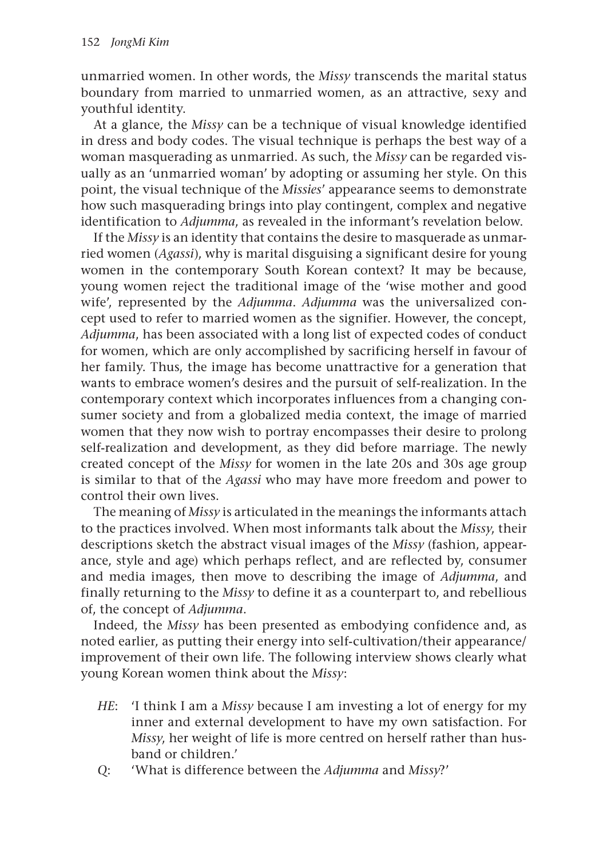unmarried women. In other words, the *Missy* transcends the marital status boundary from married to unmarried women, as an attractive, sexy and youthful identity.

At a glance, the *Missy* can be a technique of visual knowledge identified in dress and body codes. The visual technique is perhaps the best way of a woman masquerading as unmarried. As such, the *Missy* can be regarded visually as an 'unmarried woman' by adopting or assuming her style. On this point, the visual technique of the *Missies*' appearance seems to demonstrate how such masquerading brings into play contingent, complex and negative identification to *Adjumma*, as revealed in the informant's revelation below.

If the *Missy* is an identity that contains the desire to masquerade as unmarried women (*Agassi*), why is marital disguising a significant desire for young women in the contemporary South Korean context? It may be because, young women reject the traditional image of the 'wise mother and good wife', represented by the *Adjumma*. *Adjumma* was the universalized concept used to refer to married women as the signifier. However, the concept, *Adjumma*, has been associated with a long list of expected codes of conduct for women, which are only accomplished by sacrificing herself in favour of her family. Thus, the image has become unattractive for a generation that wants to embrace women's desires and the pursuit of self-realization. In the contemporary context which incorporates influences from a changing consumer society and from a globalized media context, the image of married women that they now wish to portray encompasses their desire to prolong self-realization and development, as they did before marriage. The newly created concept of the *Missy* for women in the late 20s and 30s age group is similar to that of the *Agassi* who may have more freedom and power to control their own lives.

The meaning of *Missy* is articulated in the meanings the informants attach to the practices involved. When most informants talk about the *Missy*, their descriptions sketch the abstract visual images of the *Missy* (fashion, appearance, style and age) which perhaps reflect, and are reflected by, consumer and media images, then move to describing the image of *Adjumma*, and finally returning to the *Missy* to define it as a counterpart to, and rebellious of, the concept of *Adjumma*.

Indeed, the *Missy* has been presented as embodying confidence and, as noted earlier, as putting their energy into self-cultivation/their appearance/ improvement of their own life. The following interview shows clearly what young Korean women think about the *Missy*:

- *HE*: 'I think I am a *Missy* because I am investing a lot of energy for my inner and external development to have my own satisfaction. For *Missy*, her weight of life is more centred on herself rather than husband or children.'
- *Q*: 'What is difference between the *Adjumma* and *Missy*?'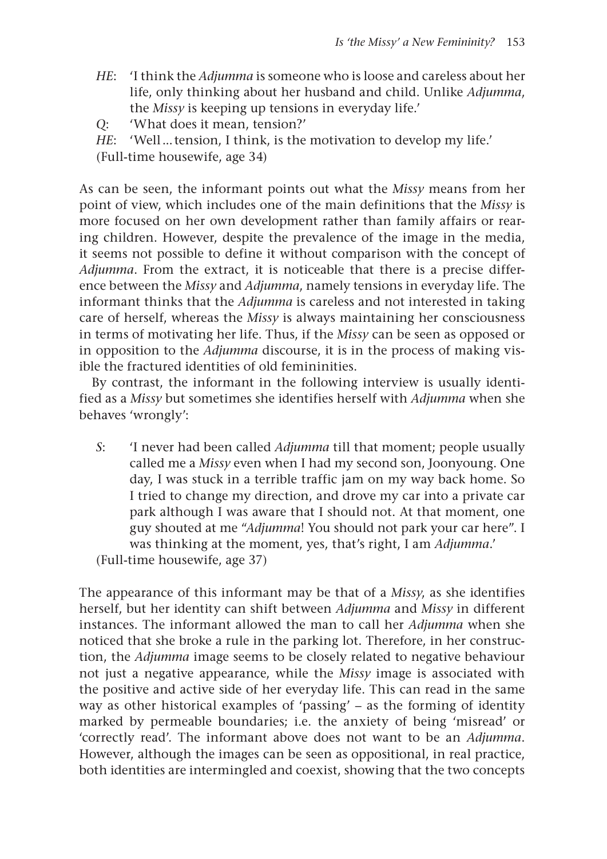- *HE*: 'I think the *Adjumma* is someone who is loose and careless about her life, only thinking about her husband and child. Unlike *Adjumma*, the *Missy* is keeping up tensions in everyday life.'
- *Q*: 'What does it mean, tension?'
- *HE*: 'Well ... tension, I think, is the motivation to develop my life.'

(Full-time housewife, age 34)

As can be seen, the informant points out what the *Missy* means from her point of view, which includes one of the main definitions that the *Missy* is more focused on her own development rather than family affairs or rearing children. However, despite the prevalence of the image in the media, it seems not possible to define it without comparison with the concept of *Adjumma*. From the extract, it is noticeable that there is a precise difference between the *Missy* and *Adjumma*, namely tensions in everyday life. The informant thinks that the *Adjumma* is careless and not interested in taking care of herself, whereas the *Missy* is always maintaining her consciousness in terms of motivating her life. Thus, if the *Missy* can be seen as opposed or in opposition to the *Adjumma* discourse, it is in the process of making visible the fractured identities of old femininities.

By contrast, the informant in the following interview is usually identified as a *Missy* but sometimes she identifies herself with *Adjumma* when she behaves 'wrongly':

*S*: 'I never had been called *Adjumma* till that moment; people usually called me a *Missy* even when I had my second son, Joonyoung. One day, I was stuck in a terrible traffic jam on my way back home. So I tried to change my direction, and drove my car into a private car park although I was aware that I should not. At that moment, one guy shouted at me "*Adjumma*! You should not park your car here". I was thinking at the moment, yes, that's right, I am *Adjumma*.' (Full-time housewife, age 37)

The appearance of this informant may be that of a *Missy*, as she identifies herself, but her identity can shift between *Adjumma* and *Missy* in different instances. The informant allowed the man to call her *Adjumma* when she noticed that she broke a rule in the parking lot. Therefore, in her construction, the *Adjumma* image seems to be closely related to negative behaviour not just a negative appearance, while the *Missy* image is associated with the positive and active side of her everyday life. This can read in the same way as other historical examples of 'passing' – as the forming of identity marked by permeable boundaries; i.e. the anxiety of being 'misread' or 'correctly read'. The informant above does not want to be an *Adjumma*. However, although the images can be seen as oppositional, in real practice, both identities are intermingled and coexist, showing that the two concepts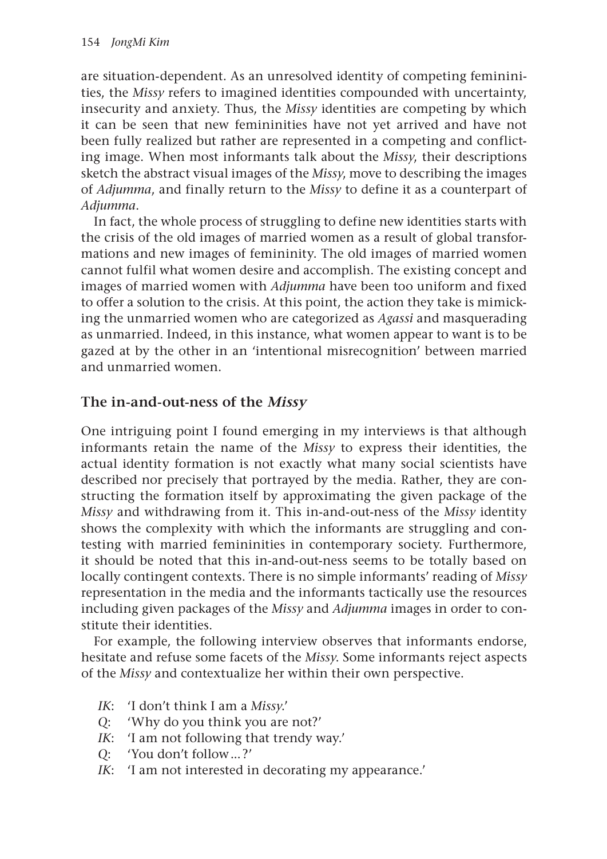are situation-dependent. As an unresolved identity of competing femininities, the *Missy* refers to imagined identities compounded with uncertainty, insecurity and anxiety. Thus, the *Missy* identities are competing by which it can be seen that new femininities have not yet arrived and have not been fully realized but rather are represented in a competing and conflicting image. When most informants talk about the *Missy*, their descriptions sketch the abstract visual images of the *Missy*, move to describing the images of *Adjumma*, and finally return to the *Missy* to define it as a counterpart of *Adjumma*.

In fact, the whole process of struggling to define new identities starts with the crisis of the old images of married women as a result of global transformations and new images of femininity. The old images of married women cannot fulfil what women desire and accomplish. The existing concept and images of married women with *Adjumma* have been too uniform and fixed to offer a solution to the crisis. At this point, the action they take is mimicking the unmarried women who are categorized as *Agassi* and masquerading as unmarried. Indeed, in this instance, what women appear to want is to be gazed at by the other in an 'intentional misrecognition' between married and unmarried women.

### **The in-and-out-ness of the Missy**

One intriguing point I found emerging in my interviews is that although informants retain the name of the *Missy* to express their identities, the actual identity formation is not exactly what many social scientists have described nor precisely that portrayed by the media. Rather, they are constructing the formation itself by approximating the given package of the *Missy* and withdrawing from it. This in-and-out-ness of the *Missy* identity shows the complexity with which the informants are struggling and contesting with married femininities in contemporary society. Furthermore, it should be noted that this in-and-out-ness seems to be totally based on locally contingent contexts. There is no simple informants' reading of *Missy* representation in the media and the informants tactically use the resources including given packages of the *Missy* and *Adjumma* images in order to constitute their identities.

For example, the following interview observes that informants endorse, hesitate and refuse some facets of the *Missy*. Some informants reject aspects of the *Missy* and contextualize her within their own perspective.

- *IK*: 'I don't think I am a *Missy*.'
- *Q*: 'Why do you think you are not?'
- *IK*: 'I am not following that trendy way.'
- *Q*: 'You don't follow ... ?'
- *IK*: 'I am not interested in decorating my appearance.'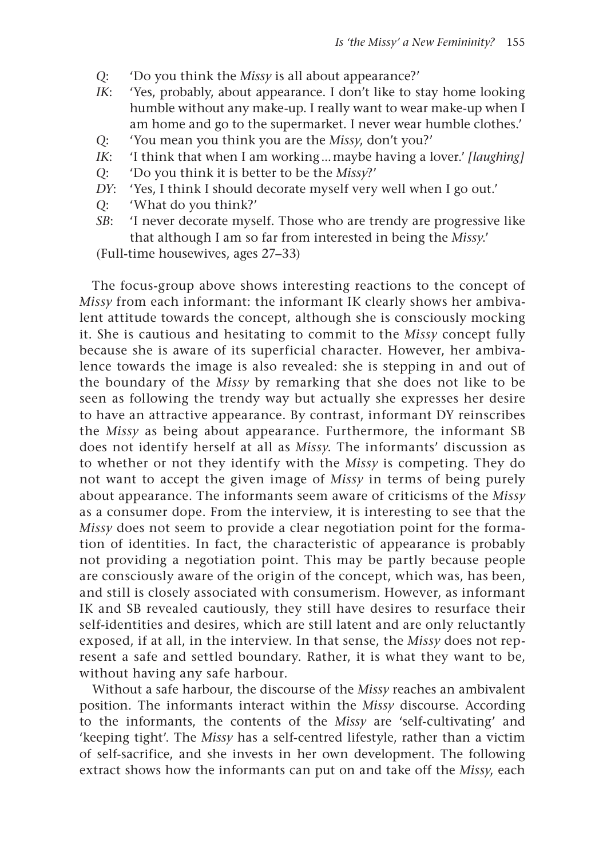- *Q*: 'Do you think the *Missy* is all about appearance?'
- *IK*: 'Yes, probably, about appearance. I don't like to stay home looking humble without any make-up. I really want to wear make-up when I am home and go to the supermarket. I never wear humble clothes.'
- *Q*: 'You mean you think you are the *Missy*, don't you?'
- *IK*: 'I think that when I am working ... maybe having a lover.' *[laughing]*
- *Q*: 'Do you think it is better to be the *Missy*?'
- *DY*: 'Yes, I think I should decorate myself very well when I go out.'
- *Q*: 'What do you think?'
- *SB*: 'I never decorate myself. Those who are trendy are progressive like that although I am so far from interested in being the *Missy*.'

(Full-time housewives, ages 27–33)

The focus-group above shows interesting reactions to the concept of *Missy* from each informant: the informant IK clearly shows her ambivalent attitude towards the concept, although she is consciously mocking it. She is cautious and hesitating to commit to the *Missy* concept fully because she is aware of its superficial character. However, her ambivalence towards the image is also revealed: she is stepping in and out of the boundary of the *Missy* by remarking that she does not like to be seen as following the trendy way but actually she expresses her desire to have an attractive appearance. By contrast, informant DY reinscribes the *Missy* as being about appearance. Furthermore, the informant SB does not identify herself at all as *Missy*. The informants' discussion as to whether or not they identify with the *Missy* is competing. They do not want to accept the given image of *Missy* in terms of being purely about appearance. The informants seem aware of criticisms of the *Missy* as a consumer dope. From the interview, it is interesting to see that the *Missy* does not seem to provide a clear negotiation point for the formation of identities. In fact, the characteristic of appearance is probably not providing a negotiation point. This may be partly because people are consciously aware of the origin of the concept, which was, has been, and still is closely associated with consumerism. However, as informant IK and SB revealed cautiously, they still have desires to resurface their self-identities and desires, which are still latent and are only reluctantly exposed, if at all, in the interview. In that sense, the *Missy* does not represent a safe and settled boundary. Rather, it is what they want to be, without having any safe harbour.

Without a safe harbour, the discourse of the *Missy* reaches an ambivalent position. The informants interact within the *Missy* discourse. According to the informants, the contents of the *Missy* are 'self-cultivating' and 'keeping tight'. The *Missy* has a self-centred lifestyle, rather than a victim of self-sacrifice, and she invests in her own development. The following extract shows how the informants can put on and take off the *Missy*, each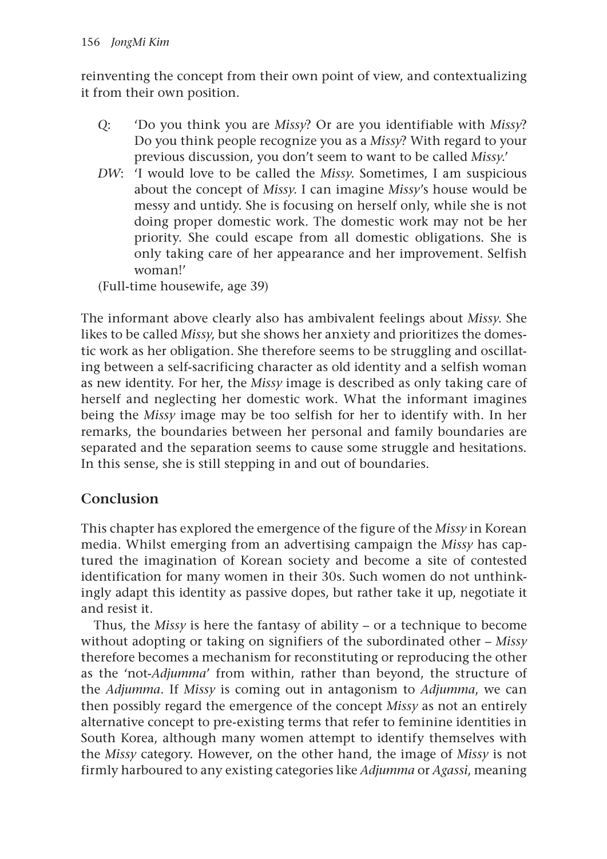reinventing the concept from their own point of view, and contextualizing it from their own position.

- *Q*: 'Do you think you are *Missy*? Or are you identifiable with *Missy*? Do you think people recognize you as a *Missy*? With regard to your previous discussion, you don't seem to want to be called *Missy*.'
- *DW*: 'I would love to be called the *Missy*. Sometimes, I am suspicious about the concept of *Missy*. I can imagine *Missy*'s house would be messy and untidy. She is focusing on herself only, while she is not doing proper domestic work. The domestic work may not be her priority. She could escape from all domestic obligations. She is only taking care of her appearance and her improvement. Selfish woman!'

(Full-time housewife, age 39)

The informant above clearly also has ambivalent feelings about *Missy*. She likes to be called *Missy*, but she shows her anxiety and prioritizes the domestic work as her obligation. She therefore seems to be struggling and oscillating between a self-sacrificing character as old identity and a selfish woman as new identity. For her, the *Missy* image is described as only taking care of herself and neglecting her domestic work. What the informant imagines being the *Missy* image may be too selfish for her to identify with. In her remarks, the boundaries between her personal and family boundaries are separated and the separation seems to cause some struggle and hesitations. In this sense, she is still stepping in and out of boundaries.

# **Conclusion**

This chapter has explored the emergence of the figure of the *Missy* in Korean media. Whilst emerging from an advertising campaign the *Missy* has captured the imagination of Korean society and become a site of contested identification for many women in their 30s. Such women do not unthinkingly adapt this identity as passive dopes, but rather take it up, negotiate it and resist it.

Thus, the *Missy* is here the fantasy of ability – or a technique to become without adopting or taking on signifiers of the subordinated other – *Missy*  therefore becomes a mechanism for reconstituting or reproducing the other as the 'not-*Adjumma*' from within, rather than beyond, the structure of the *Adjumma*. If *Missy* is coming out in antagonism to *Adjumma*, we can then possibly regard the emergence of the concept *Missy* as not an entirely alternative concept to pre-existing terms that refer to feminine identities in South Korea, although many women attempt to identify themselves with the *Missy* category. However, on the other hand, the image of *Missy* is not firmly harboured to any existing categories like *Adjumma* or *Agassi*, meaning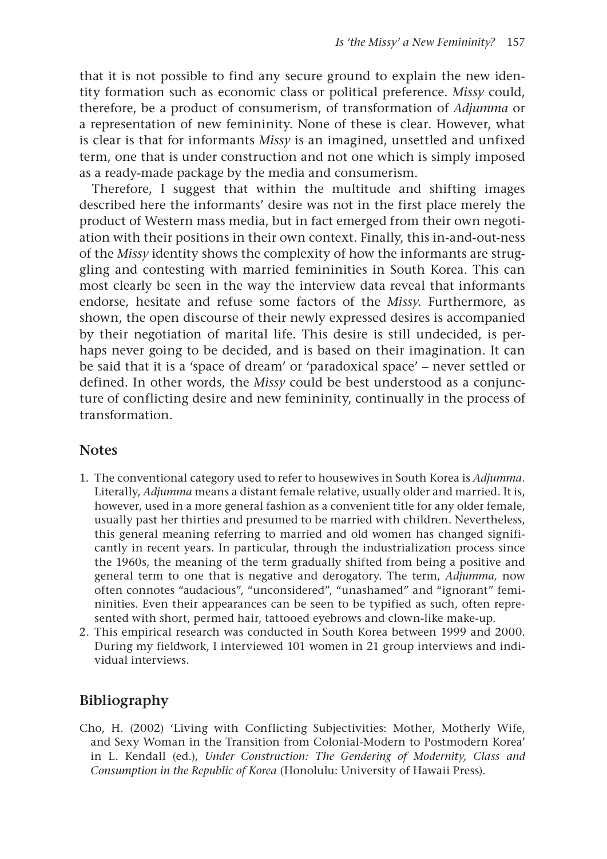that it is not possible to find any secure ground to explain the new identity formation such as economic class or political preference. *Missy* could, therefore, be a product of consumerism, of transformation of *Adjumma* or a representation of new femininity. None of these is clear. However, what is clear is that for informants *Missy* is an imagined, unsettled and unfixed term, one that is under construction and not one which is simply imposed as a ready-made package by the media and consumerism.

Therefore, I suggest that within the multitude and shifting images described here the informants' desire was not in the first place merely the product of Western mass media, but in fact emerged from their own negotiation with their positions in their own context. Finally, this in-and-out-ness of the *Missy* identity shows the complexity of how the informants are struggling and contesting with married femininities in South Korea. This can most clearly be seen in the way the interview data reveal that informants endorse, hesitate and refuse some factors of the *Missy.* Furthermore, as shown, the open discourse of their newly expressed desires is accompanied by their negotiation of marital life. This desire is still undecided, is perhaps never going to be decided, and is based on their imagination. It can be said that it is a 'space of dream' or 'paradoxical space' – never settled or defined. In other words, the *Missy* could be best understood as a conjuncture of conflicting desire and new femininity, continually in the process of transformation.

#### **Notes**

- 1. The conventional category used to refer to housewives in South Korea is *Adjumma*. Literally, *Adjumma* means a distant female relative, usually older and married. It is, however, used in a more general fashion as a convenient title for any older female, usually past her thirties and presumed to be married with children. Nevertheless, this general meaning referring to married and old women has changed significantly in recent years. In particular, through the industrialization process since the 1960s, the meaning of the term gradually shifted from being a positive and general term to one that is negative and derogatory. The term, *Adjumma,* now often connotes "audacious", "unconsidered", "unashamed" and "ignorant" femininities. Even their appearances can be seen to be typified as such, often represented with short, permed hair, tattooed eyebrows and clown-like make-up.
- 2. This empirical research was conducted in South Korea between 1999 and 2000. During my fieldwork, I interviewed 101 women in 21 group interviews and individual interviews.

### **Bibliography**

Cho, H. (2002) 'Living with Conflicting Subjectivities: Mother, Motherly Wife, and Sexy Woman in the Transition from Colonial-Modern to Postmodern Korea' in L. Kendall (ed.), *Under Construction: The Gendering of Modernity, Class and Consumption in the Republic of Korea* (Honolulu: University of Hawaii Press).